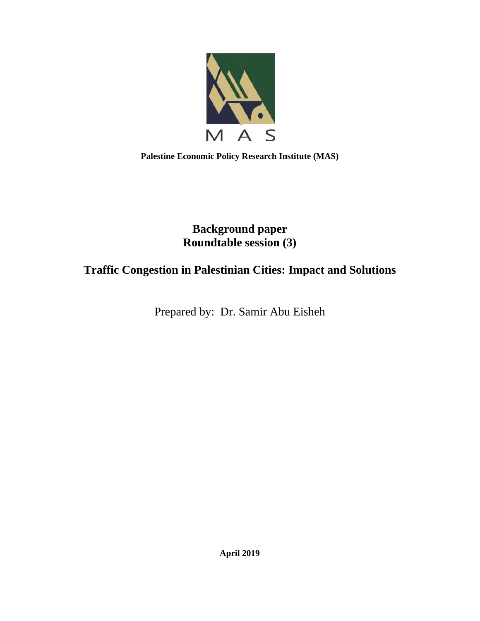

**Palestine Economic Policy Research Institute (MAS)** 

# **Background paper Roundtable session (3)**

# **Traffic Congestion in Palestinian Cities: Impact and Solutions**

Prepared by: Dr. Samir Abu Eisheh

**April 2019**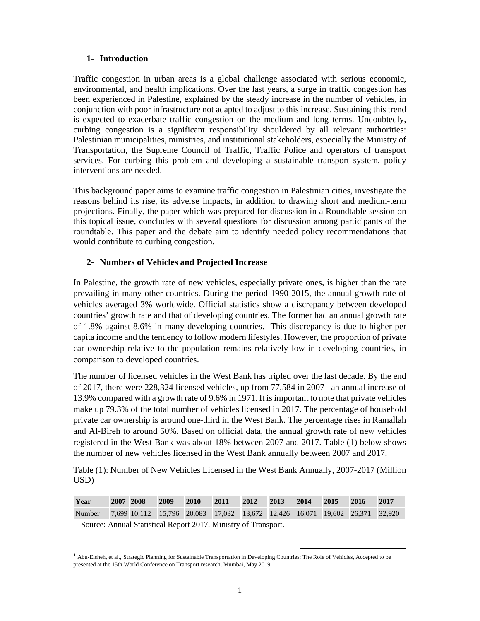## **1- Introduction**

Traffic congestion in urban areas is a global challenge associated with serious economic, environmental, and health implications. Over the last years, a surge in traffic congestion has been experienced in Palestine, explained by the steady increase in the number of vehicles, in conjunction with poor infrastructure not adapted to adjust to this increase. Sustaining this trend is expected to exacerbate traffic congestion on the medium and long terms. Undoubtedly, curbing congestion is a significant responsibility shouldered by all relevant authorities: Palestinian municipalities, ministries, and institutional stakeholders, especially the Ministry of Transportation, the Supreme Council of Traffic, Traffic Police and operators of transport services. For curbing this problem and developing a sustainable transport system, policy interventions are needed.

This background paper aims to examine traffic congestion in Palestinian cities, investigate the reasons behind its rise, its adverse impacts, in addition to drawing short and medium-term projections. Finally, the paper which was prepared for discussion in a Roundtable session on this topical issue, concludes with several questions for discussion among participants of the roundtable. This paper and the debate aim to identify needed policy recommendations that would contribute to curbing congestion.

# **2- Numbers of Vehicles and Projected Increase**

In Palestine, the growth rate of new vehicles, especially private ones, is higher than the rate prevailing in many other countries. During the period 1990-2015, the annual growth rate of vehicles averaged 3% worldwide. Official statistics show a discrepancy between developed countries' growth rate and that of developing countries. The former had an annual growth rate of 1.8% against 8.6% in many developing countries.<sup>1</sup> This discrepancy is due to higher per capita income and the tendency to follow modern lifestyles. However, the proportion of private car ownership relative to the population remains relatively low in developing countries, in comparison to developed countries.

The number of licensed vehicles in the West Bank has tripled over the last decade. By the end of 2017, there were 228,324 licensed vehicles, up from 77,584 in 2007– an annual increase of 13.9% compared with a growth rate of 9.6% in 1971. It is important to note that private vehicles make up 79.3% of the total number of vehicles licensed in 2017. The percentage of household private car ownership is around one-third in the West Bank. The percentage rises in Ramallah and Al-Bireh to around 50%. Based on official data, the annual growth rate of new vehicles registered in the West Bank was about 18% between 2007 and 2017. Table (1) below shows the number of new vehicles licensed in the West Bank annually between 2007 and 2017.

Table (1): Number of New Vehicles Licensed in the West Bank Annually, 2007-2017 (Million USD)

| Year                                                                               | 2007 2008 2009 2010 |  | 2011 2012 2013 2014 2015 2016 2017 |  |  |  |
|------------------------------------------------------------------------------------|---------------------|--|------------------------------------|--|--|--|
| Number 7,699 10,112 15,796 20,083 17,032 13,672 12,426 16,071 19,602 26,371 32,920 |                     |  |                                    |  |  |  |

Source: Annual Statistical Report 2017, Ministry of Transport.

<sup>&</sup>lt;sup>1</sup> Abu-Eisheh, et al., Strategic Planning for Sustainable Transportation in Developing Countries: The Role of Vehicles, Accepted to be presented at the 15th World Conference on Transport research, Mumbai, May 2019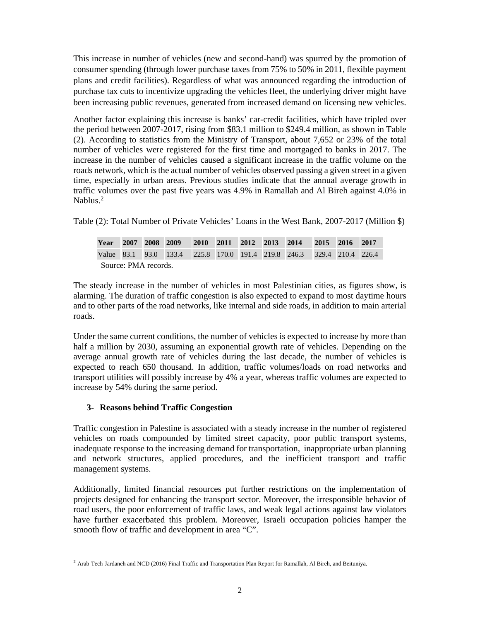This increase in number of vehicles (new and second-hand) was spurred by the promotion of consumer spending (through lower purchase taxes from 75% to 50% in 2011, flexible payment plans and credit facilities). Regardless of what was announced regarding the introduction of purchase tax cuts to incentivize upgrading the vehicles fleet, the underlying driver might have been increasing public revenues, generated from increased demand on licensing new vehicles.

Another factor explaining this increase is banks' car-credit facilities, which have tripled over the period between 2007-2017, rising from \$83.1 million to \$249.4 million, as shown in Table (2). According to statistics from the Ministry of Transport, about 7,652 or 23% of the total number of vehicles were registered for the first time and mortgaged to banks in 2017. The increase in the number of vehicles caused a significant increase in the traffic volume on the roads network, which is the actual number of vehicles observed passing a given street in a given time, especially in urban areas. Previous studies indicate that the annual average growth in traffic volumes over the past five years was 4.9% in Ramallah and Al Bireh against 4.0% in Nablus<sup>2</sup>

Table (2): Total Number of Private Vehicles' Loans in the West Bank, 2007-2017 (Million \$)

| Year                 |  |  | 2007 2008 2009 2010 2011 2012 2013 2014 2015 2016 2017                |  |  |  |  |  |  |  |  |
|----------------------|--|--|-----------------------------------------------------------------------|--|--|--|--|--|--|--|--|
|                      |  |  | Value 83.1 93.0 133.4 225.8 170.0 191.4 219.8 246.3 329.4 210.4 226.4 |  |  |  |  |  |  |  |  |
| Source: PMA records. |  |  |                                                                       |  |  |  |  |  |  |  |  |

The steady increase in the number of vehicles in most Palestinian cities, as figures show, is alarming. The duration of traffic congestion is also expected to expand to most daytime hours and to other parts of the road networks, like internal and side roads, in addition to main arterial roads.

Under the same current conditions, the number of vehicles is expected to increase by more than half a million by 2030, assuming an exponential growth rate of vehicles. Depending on the average annual growth rate of vehicles during the last decade, the number of vehicles is expected to reach 650 thousand. In addition, traffic volumes/loads on road networks and transport utilities will possibly increase by 4% a year, whereas traffic volumes are expected to increase by 54% during the same period.

# **3- Reasons behind Traffic Congestion**

Traffic congestion in Palestine is associated with a steady increase in the number of registered vehicles on roads compounded by limited street capacity, poor public transport systems, inadequate response to the increasing demand for transportation, inappropriate urban planning and network structures, applied procedures, and the inefficient transport and traffic management systems.

Additionally, limited financial resources put further restrictions on the implementation of projects designed for enhancing the transport sector. Moreover, the irresponsible behavior of road users, the poor enforcement of traffic laws, and weak legal actions against law violators have further exacerbated this problem. Moreover, Israeli occupation policies hamper the smooth flow of traffic and development in area "C".

<sup>&</sup>lt;sup>2</sup> Arab Tech Jardaneh and NCD (2016) Final Traffic and Transportation Plan Report for Ramallah, Al Bireh, and Beituniya.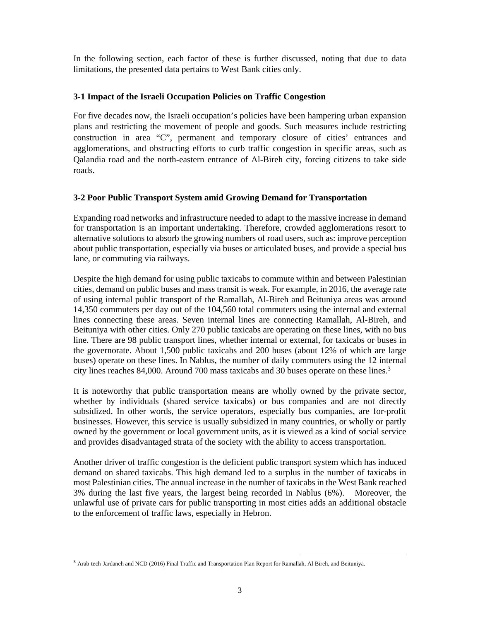In the following section, each factor of these is further discussed, noting that due to data limitations, the presented data pertains to West Bank cities only.

## **3-1 Impact of the Israeli Occupation Policies on Traffic Congestion**

For five decades now, the Israeli occupation's policies have been hampering urban expansion plans and restricting the movement of people and goods. Such measures include restricting construction in area "C", permanent and temporary closure of cities' entrances and agglomerations, and obstructing efforts to curb traffic congestion in specific areas, such as Qalandia road and the north-eastern entrance of Al-Bireh city, forcing citizens to take side roads.

## **3-2 Poor Public Transport System amid Growing Demand for Transportation**

Expanding road networks and infrastructure needed to adapt to the massive increase in demand for transportation is an important undertaking. Therefore, crowded agglomerations resort to alternative solutions to absorb the growing numbers of road users, such as: improve perception about public transportation, especially via buses or articulated buses, and provide a special bus lane, or commuting via railways.

Despite the high demand for using public taxicabs to commute within and between Palestinian cities, demand on public buses and mass transit is weak. For example, in 2016, the average rate of using internal public transport of the Ramallah, Al-Bireh and Beituniya areas was around 14,350 commuters per day out of the 104,560 total commuters using the internal and external lines connecting these areas. Seven internal lines are connecting Ramallah, Al-Bireh, and Beituniya with other cities. Only 270 public taxicabs are operating on these lines, with no bus line. There are 98 public transport lines, whether internal or external, for taxicabs or buses in the governorate. About 1,500 public taxicabs and 200 buses (about 12% of which are large buses) operate on these lines. In Nablus, the number of daily commuters using the 12 internal city lines reaches 84,000. Around 700 mass taxicabs and 30 buses operate on these lines.3

It is noteworthy that public transportation means are wholly owned by the private sector, whether by individuals (shared service taxicabs) or bus companies and are not directly subsidized. In other words, the service operators, especially bus companies, are for-profit businesses. However, this service is usually subsidized in many countries, or wholly or partly owned by the government or local government units, as it is viewed as a kind of social service and provides disadvantaged strata of the society with the ability to access transportation.

Another driver of traffic congestion is the deficient public transport system which has induced demand on shared taxicabs. This high demand led to a surplus in the number of taxicabs in most Palestinian cities. The annual increase in the number of taxicabs in the West Bank reached 3% during the last five years, the largest being recorded in Nablus (6%). Moreover, the unlawful use of private cars for public transporting in most cities adds an additional obstacle to the enforcement of traffic laws, especially in Hebron.

<sup>3</sup> Arab tech Jardaneh and NCD (2016) Final Traffic and Transportation Plan Report for Ramallah, Al Bireh, and Beituniya.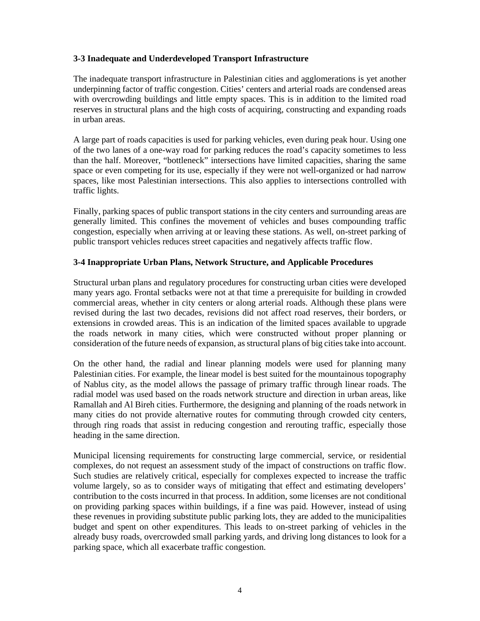# **3-3 Inadequate and Underdeveloped Transport Infrastructure**

The inadequate transport infrastructure in Palestinian cities and agglomerations is yet another underpinning factor of traffic congestion. Cities' centers and arterial roads are condensed areas with overcrowding buildings and little empty spaces. This is in addition to the limited road reserves in structural plans and the high costs of acquiring, constructing and expanding roads in urban areas.

A large part of roads capacities is used for parking vehicles, even during peak hour. Using one of the two lanes of a one-way road for parking reduces the road's capacity sometimes to less than the half. Moreover, "bottleneck" intersections have limited capacities, sharing the same space or even competing for its use, especially if they were not well-organized or had narrow spaces, like most Palestinian intersections. This also applies to intersections controlled with traffic lights.

Finally, parking spaces of public transport stations in the city centers and surrounding areas are generally limited. This confines the movement of vehicles and buses compounding traffic congestion, especially when arriving at or leaving these stations. As well, on-street parking of public transport vehicles reduces street capacities and negatively affects traffic flow.

### **3-4 Inappropriate Urban Plans, Network Structure, and Applicable Procedures**

Structural urban plans and regulatory procedures for constructing urban cities were developed many years ago. Frontal setbacks were not at that time a prerequisite for building in crowded commercial areas, whether in city centers or along arterial roads. Although these plans were revised during the last two decades, revisions did not affect road reserves, their borders, or extensions in crowded areas. This is an indication of the limited spaces available to upgrade the roads network in many cities, which were constructed without proper planning or consideration of the future needs of expansion, as structural plans of big cities take into account.

On the other hand, the radial and linear planning models were used for planning many Palestinian cities. For example, the linear model is best suited for the mountainous topography of Nablus city, as the model allows the passage of primary traffic through linear roads. The radial model was used based on the roads network structure and direction in urban areas, like Ramallah and Al Bireh cities. Furthermore, the designing and planning of the roads network in many cities do not provide alternative routes for commuting through crowded city centers, through ring roads that assist in reducing congestion and rerouting traffic, especially those heading in the same direction.

Municipal licensing requirements for constructing large commercial, service, or residential complexes, do not request an assessment study of the impact of constructions on traffic flow. Such studies are relatively critical, especially for complexes expected to increase the traffic volume largely, so as to consider ways of mitigating that effect and estimating developers' contribution to the costs incurred in that process. In addition, some licenses are not conditional on providing parking spaces within buildings, if a fine was paid. However, instead of using these revenues in providing substitute public parking lots, they are added to the municipalities budget and spent on other expenditures. This leads to on-street parking of vehicles in the already busy roads, overcrowded small parking yards, and driving long distances to look for a parking space, which all exacerbate traffic congestion.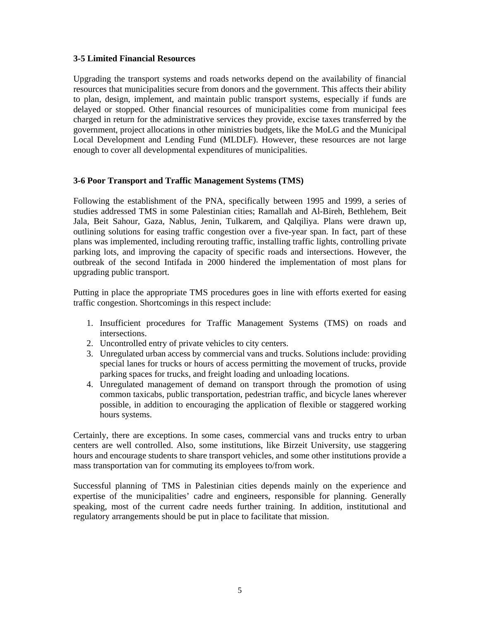## **3-5 Limited Financial Resources**

Upgrading the transport systems and roads networks depend on the availability of financial resources that municipalities secure from donors and the government. This affects their ability to plan, design, implement, and maintain public transport systems, especially if funds are delayed or stopped. Other financial resources of municipalities come from municipal fees charged in return for the administrative services they provide, excise taxes transferred by the government, project allocations in other ministries budgets, like the MoLG and the Municipal Local Development and Lending Fund (MLDLF). However, these resources are not large enough to cover all developmental expenditures of municipalities.

## **3-6 Poor Transport and Traffic Management Systems (TMS)**

Following the establishment of the PNA, specifically between 1995 and 1999, a series of studies addressed TMS in some Palestinian cities; Ramallah and Al-Bireh, Bethlehem, Beit Jala, Beit Sahour, Gaza, Nablus, Jenin, Tulkarem, and Qalqiliya. Plans were drawn up, outlining solutions for easing traffic congestion over a five-year span. In fact, part of these plans was implemented, including rerouting traffic, installing traffic lights, controlling private parking lots, and improving the capacity of specific roads and intersections. However, the outbreak of the second Intifada in 2000 hindered the implementation of most plans for upgrading public transport.

Putting in place the appropriate TMS procedures goes in line with efforts exerted for easing traffic congestion. Shortcomings in this respect include:

- 1. Insufficient procedures for Traffic Management Systems (TMS) on roads and intersections.
- 2. Uncontrolled entry of private vehicles to city centers.
- 3. Unregulated urban access by commercial vans and trucks. Solutions include: providing special lanes for trucks or hours of access permitting the movement of trucks, provide parking spaces for trucks, and freight loading and unloading locations.
- 4. Unregulated management of demand on transport through the promotion of using common taxicabs, public transportation, pedestrian traffic, and bicycle lanes wherever possible, in addition to encouraging the application of flexible or staggered working hours systems.

Certainly, there are exceptions. In some cases, commercial vans and trucks entry to urban centers are well controlled. Also, some institutions, like Birzeit University, use staggering hours and encourage students to share transport vehicles, and some other institutions provide a mass transportation van for commuting its employees to/from work.

Successful planning of TMS in Palestinian cities depends mainly on the experience and expertise of the municipalities' cadre and engineers, responsible for planning. Generally speaking, most of the current cadre needs further training. In addition, institutional and regulatory arrangements should be put in place to facilitate that mission.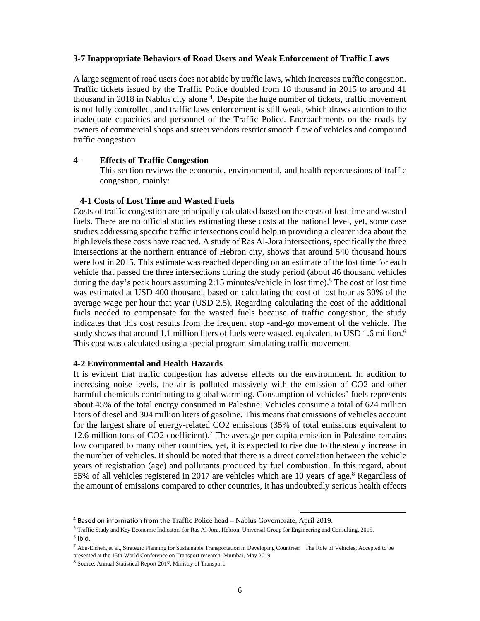#### **3-7 Inappropriate Behaviors of Road Users and Weak Enforcement of Traffic Laws**

A large segment of road users does not abide by traffic laws, which increases traffic congestion. Traffic tickets issued by the Traffic Police doubled from 18 thousand in 2015 to around 41 thousand in 2018 in Nablus city alone<sup>4</sup>. Despite the huge number of tickets, traffic movement is not fully controlled, and traffic laws enforcement is still weak, which draws attention to the inadequate capacities and personnel of the Traffic Police. Encroachments on the roads by owners of commercial shops and street vendors restrict smooth flow of vehicles and compound traffic congestion

### **4- Effects of Traffic Congestion**

This section reviews the economic, environmental, and health repercussions of traffic congestion, mainly:

#### **4-1 Costs of Lost Time and Wasted Fuels**

Costs of traffic congestion are principally calculated based on the costs of lost time and wasted fuels. There are no official studies estimating these costs at the national level, yet, some case studies addressing specific traffic intersections could help in providing a clearer idea about the high levels these costs have reached. A study of Ras Al-Jora intersections, specifically the three intersections at the northern entrance of Hebron city, shows that around 540 thousand hours were lost in 2015. This estimate was reached depending on an estimate of the lost time for each vehicle that passed the three intersections during the study period (about 46 thousand vehicles during the day's peak hours assuming 2:15 minutes/vehicle in lost time).<sup>5</sup> The cost of lost time was estimated at USD 400 thousand, based on calculating the cost of lost hour as 30% of the average wage per hour that year (USD 2.5). Regarding calculating the cost of the additional fuels needed to compensate for the wasted fuels because of traffic congestion, the study indicates that this cost results from the frequent stop -and-go movement of the vehicle. The study shows that around 1.1 million liters of fuels were wasted, equivalent to USD 1.6 million.<sup>6</sup> This cost was calculated using a special program simulating traffic movement.

#### **4-2 Environmental and Health Hazards**

It is evident that traffic congestion has adverse effects on the environment. In addition to increasing noise levels, the air is polluted massively with the emission of CO2 and other harmful chemicals contributing to global warming. Consumption of vehicles' fuels represents about 45% of the total energy consumed in Palestine. Vehicles consume a total of 624 million liters of diesel and 304 million liters of gasoline. This means that emissions of vehicles account for the largest share of energy-related CO2 emissions (35% of total emissions equivalent to 12.6 million tons of CO2 coefficient).<sup>7</sup> The average per capita emission in Palestine remains low compared to many other countries, yet, it is expected to rise due to the steady increase in the number of vehicles. It should be noted that there is a direct correlation between the vehicle years of registration (age) and pollutants produced by fuel combustion. In this regard, about 55% of all vehicles registered in 2017 are vehicles which are 10 years of age.<sup>8</sup> Regardless of the amount of emissions compared to other countries, it has undoubtedly serious health effects

<sup>4</sup> Based on information from the Traffic Police head – Nablus Governorate, April 2019.

<sup>5</sup> Traffic Study and Key Economic Indicators for Ras Al-Jora, Hebron, Universal Group for Engineering and Consulting, 2015.  $6$  Ibid.

<sup>7</sup> Abu-Eisheh, et al., Strategic Planning for Sustainable Transportation in Developing Countries: The Role of Vehicles, Accepted to be presented at the 15th World Conference on Transport research, Mumbai, May 2019

<sup>8</sup> Source: Annual Statistical Report 2017, Ministry of Transport.